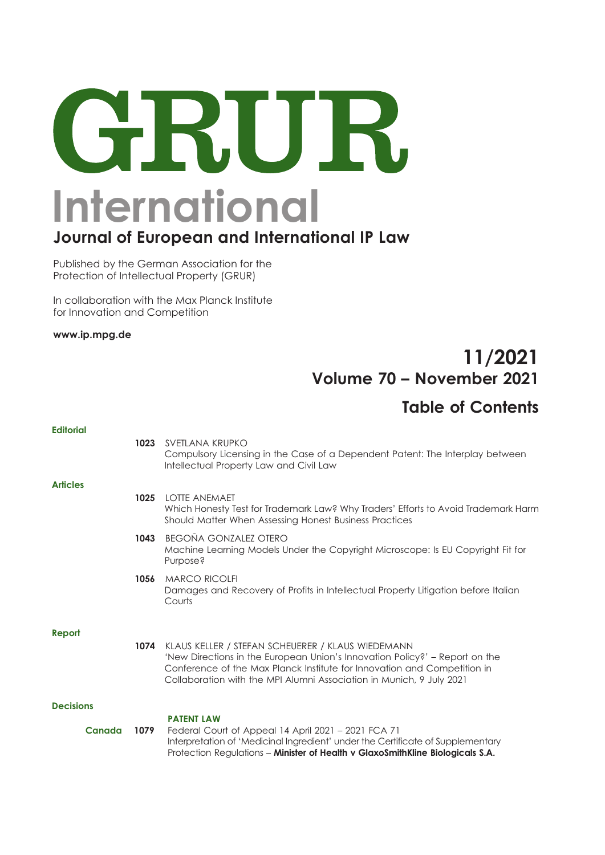# GRUR. **International**

## **Journal of European and International IP Law**

Published by the German Association for the Protection of Intellectual Property (GRUR)

In collaboration with the Max Planck Institute for Innovation and Competition

**www.ip.mpg.de** 

## 11/2021 Volume 70 – November 2021

#### Table of Contents

| <b>Editorial</b> |      |                                                                                                                                                                                                                                                                                      |
|------------------|------|--------------------------------------------------------------------------------------------------------------------------------------------------------------------------------------------------------------------------------------------------------------------------------------|
|                  | 1023 | SVETLANA KRUPKO<br>Compulsory Licensing in the Case of a Dependent Patent: The Interplay between<br>Intellectual Property Law and Civil Law                                                                                                                                          |
| <b>Articles</b>  |      |                                                                                                                                                                                                                                                                                      |
|                  | 1025 | <b>LOTTE ANEMAET</b><br>Which Honesty Test for Trademark Law? Why Traders' Efforts to Avoid Trademark Harm<br>Should Matter When Assessing Honest Business Practices                                                                                                                 |
|                  | 1043 | <b>BEGOÑA GONZALEZ OTERO</b><br>Machine Learning Models Under the Copyright Microscope: Is EU Copyright Fit for<br>Purpose?                                                                                                                                                          |
|                  | 1056 | <b>MARCO RICOLFI</b><br>Damages and Recovery of Profits in Intellectual Property Litigation before Italian<br>Courts                                                                                                                                                                 |
| Report           |      |                                                                                                                                                                                                                                                                                      |
|                  | 1074 | KLAUS KELLER / STEFAN SCHEUERER / KLAUS WIEDEMANN<br>'New Directions in the European Union's Innovation Policy?' – Report on the<br>Conference of the Max Planck Institute for Innovation and Competition in<br>Collaboration with the MPI Alumni Association in Munich, 9 July 2021 |
| <b>Decisions</b> |      |                                                                                                                                                                                                                                                                                      |
| <b>Canada</b>    | 1079 | <b>PATENT LAW</b><br>Federal Court of Appeal 14 April 2021 - 2021 FCA 71<br>Interpretation of 'Medicinal Ingredient' under the Certificate of Supplementary<br>Protection Regulations - Minister of Health v GlaxoSmithKline Biologicals S.A.                                        |